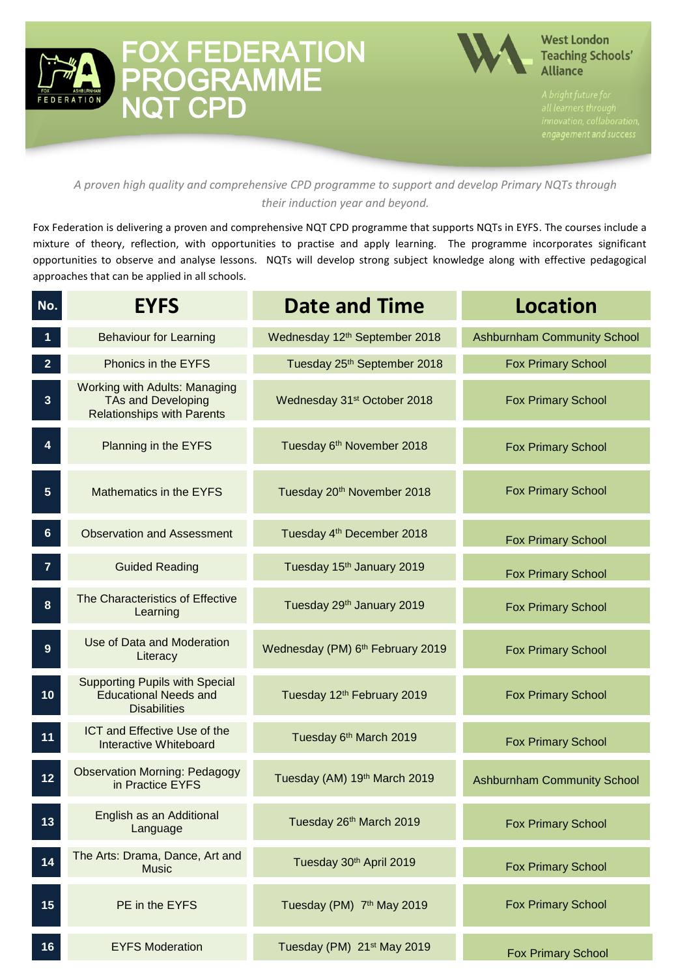



#### **West London Teaching Schools' Alliance**

#### *A proven high quality and comprehensive CPD programme to support and develop Primary NQTs through their induction year and beyond.*

Fox Federation is delivering a proven and comprehensive NQT CPD programme that supports NQTs in EYFS. The courses include a mixture of theory, reflection, with opportunities to practise and apply learning. The programme incorporates significant opportunities to observe and analyse lessons. NQTs will develop strong subject knowledge along with effective pedagogical approaches that can be applied in all schools.

| No.                     | <b>EYFS</b>                                                                                            | <b>Date and Time</b>                    | <b>Location</b>                    |
|-------------------------|--------------------------------------------------------------------------------------------------------|-----------------------------------------|------------------------------------|
|                         | <b>Behaviour for Learning</b>                                                                          | Wednesday 12th September 2018           | <b>Ashburnham Community School</b> |
| 2 <sup>1</sup>          | Phonics in the EYFS                                                                                    | Tuesday 25th September 2018             | <b>Fox Primary School</b>          |
| $3\phantom{a}$          | <b>Working with Adults: Managing</b><br><b>TAs and Developing</b><br><b>Relationships with Parents</b> | Wednesday 31 <sup>st</sup> October 2018 | <b>Fox Primary School</b>          |
| $\overline{\mathbf{4}}$ | Planning in the EYFS                                                                                   | Tuesday 6th November 2018               | <b>Fox Primary School</b>          |
| 5 <sub>5</sub>          | Mathematics in the EYFS                                                                                | Tuesday 20 <sup>th</sup> November 2018  | <b>Fox Primary School</b>          |
| 6 <sup>°</sup>          | <b>Observation and Assessment</b>                                                                      | Tuesday 4 <sup>th</sup> December 2018   | <b>Fox Primary School</b>          |
| 7                       | <b>Guided Reading</b>                                                                                  | Tuesday 15 <sup>th</sup> January 2019   | <b>Fox Primary School</b>          |
| $\boldsymbol{8}$        | The Characteristics of Effective<br>Learning                                                           | Tuesday 29th January 2019               | <b>Fox Primary School</b>          |
| 9                       | Use of Data and Moderation<br>Literacy                                                                 | Wednesday (PM) 6th February 2019        | <b>Fox Primary School</b>          |
| 10                      | <b>Supporting Pupils with Special</b><br><b>Educational Needs and</b><br><b>Disabilities</b>           | Tuesday 12 <sup>th</sup> February 2019  | <b>Fox Primary School</b>          |
| 11                      | ICT and Effective Use of the<br>Interactive Whiteboard                                                 | Tuesday 6th March 2019                  | <b>Fox Primary School</b>          |
| $12$                    | <b>Observation Morning: Pedagogy</b><br>in Practice EYFS                                               | Tuesday (AM) 19th March 2019            | <b>Ashburnham Community School</b> |
| 13                      | English as an Additional<br>Language                                                                   | Tuesday 26th March 2019                 | <b>Fox Primary School</b>          |
| 14                      | The Arts: Drama, Dance, Art and<br><b>Music</b>                                                        | Tuesday 30th April 2019                 | <b>Fox Primary School</b>          |
| 15                      | PE in the EYFS                                                                                         | Tuesday (PM) 7th May 2019               | <b>Fox Primary School</b>          |
| 16                      | <b>EYFS Moderation</b>                                                                                 | Tuesday (PM) 21 <sup>st</sup> May 2019  | <b>Fox Primary School</b>          |